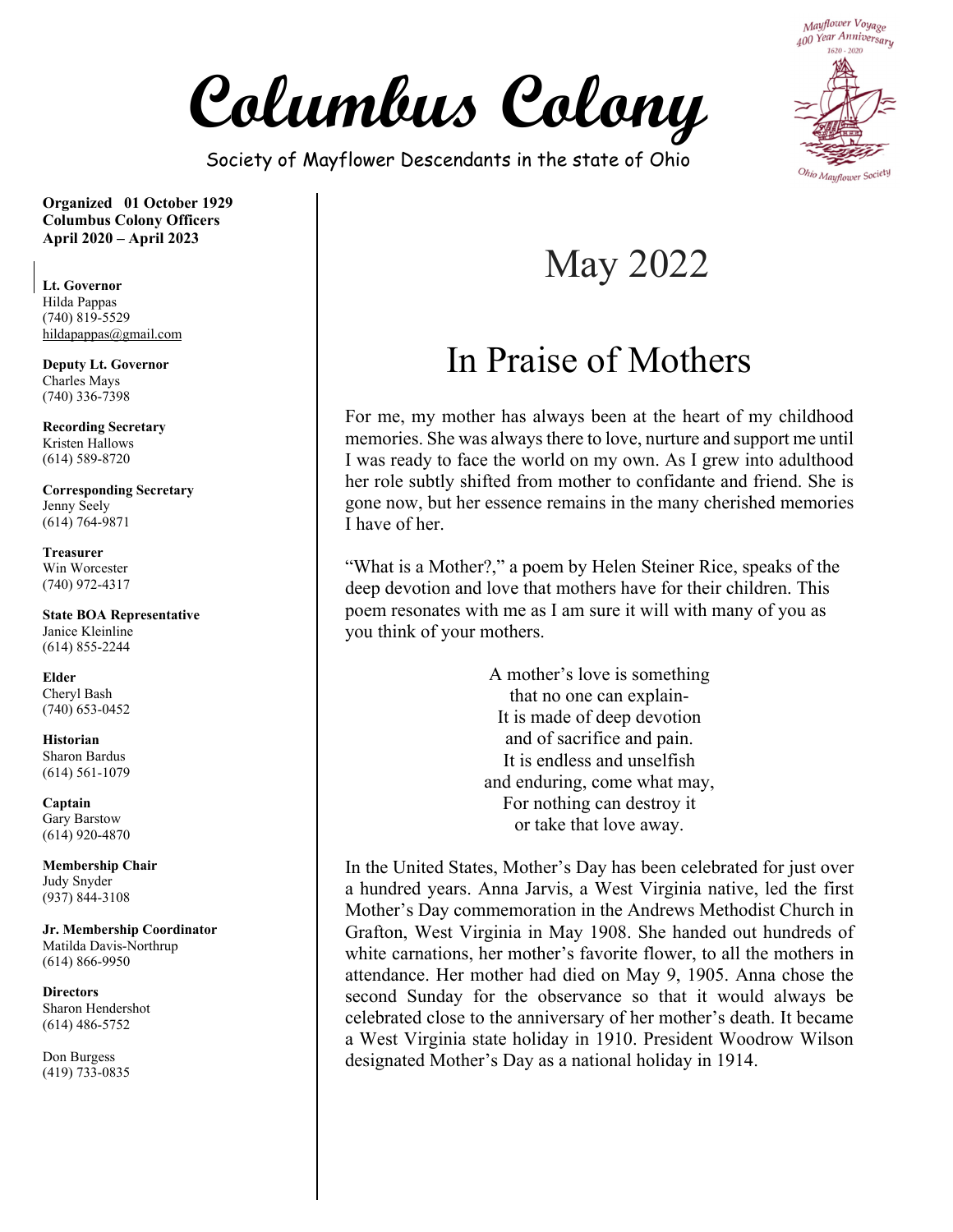**Columbus Colony** 

Society of Mayflower Descendants in the state of Ohio



**Organized 01 October 1929 Columbus Colony Officers April 2020 – April 2023** 

**Lt. Governor**  Hilda Pappas  $(740)$  819-5529 hildapappas@gmail.com

**Deputy Lt. Governor**  Charles Mays (740) 336-7398

**Recording Secretary**  Kristen Hallows (614) 589-8720

**Corresponding Secretary**  Jenny Seely (614) 764-9871

**Treasurer**  Win Worcester (740) 972-4317

**State BOA Representative**  Janice Kleinline (614) 855-2244

**Elder**  Cheryl Bash (740) 653-0452

**Historian**  Sharon Bardus (614) 561-1079

**Captain**  Gary Barstow (614) 920-4870

**Membership Chair**  Judy Snyder (937) 844-3108

**Jr. Membership Coordinator** Matilda Davis-Northrup (614) 866-9950

**Directors**  Sharon Hendershot (614) 486-5752

Don Burgess (419) 733-0835

# May 2022

## In Praise of Mothers

For me, my mother has always been at the heart of my childhood memories. She was always there to love, nurture and support me until I was ready to face the world on my own. As I grew into adulthood her role subtly shifted from mother to confidante and friend. She is gone now, but her essence remains in the many cherished memories I have of her.

"What is a Mother?," a poem by Helen Steiner Rice, speaks of the deep devotion and love that mothers have for their children. This poem resonates with me as I am sure it will with many of you as you think of your mothers.

> A mother's love is something that no one can explain-It is made of deep devotion and of sacrifice and pain. It is endless and unselfish and enduring, come what may, For nothing can destroy it or take that love away.

In the United States, Mother's Day has been celebrated for just over a hundred years. Anna Jarvis, a West Virginia native, led the first Mother's Day commemoration in the Andrews Methodist Church in Grafton, West Virginia in May 1908. She handed out hundreds of white carnations, her mother's favorite flower, to all the mothers in attendance. Her mother had died on May 9, 1905. Anna chose the second Sunday for the observance so that it would always be celebrated close to the anniversary of her mother's death. It became a West Virginia state holiday in 1910. President Woodrow Wilson designated Mother's Day as a national holiday in 1914.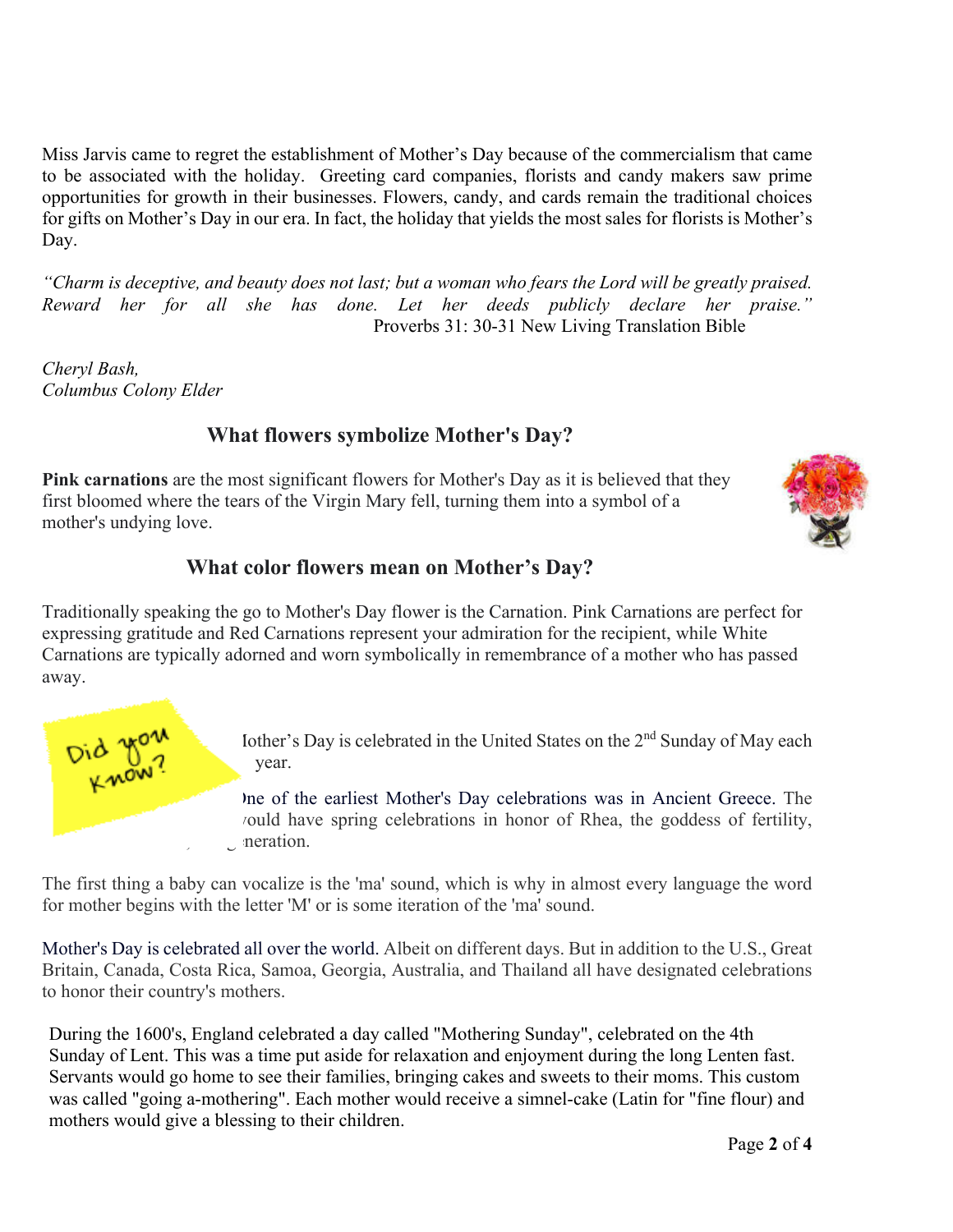Miss Jarvis came to regret the establishment of Mother's Day because of the commercialism that came to be associated with the holiday. Greeting card companies, florists and candy makers saw prime opportunities for growth in their businesses. Flowers, candy, and cards remain the traditional choices for gifts on Mother's Day in our era. In fact, the holiday that yields the most sales for florists is Mother's Day.

*"Charm is deceptive, and beauty does not last; but a woman who fears the Lord will be greatly praised. Reward her for all she has done. Let her deeds publicly declare her praise."*  Proverbs 31: 30-31 New Living Translation Bible

*Cheryl Bash, Columbus Colony Elder*

## **What flowers symbolize Mother's Day?**

**Pink carnations** are the most significant flowers for Mother's Day as it is believed that they first bloomed where the tears of the Virgin Mary fell, turning them into a symbol of a mother's undying love.



### **What color flowers mean on Mother's Day?**

Traditionally speaking the go to Mother's Day flower is the Carnation. Pink Carnations are perfect for expressing gratitude and Red Carnations represent your admiration for the recipient, while White Carnations are typically adorned and worn symbolically in remembrance of a mother who has passed away.



Iother's Day is celebrated in the United States on the 2<sup>nd</sup> Sunday of May each year.

One of the earliest Mother's Day celebrations was in Ancient Greece. The ould have spring celebrations in honor of Rhea, the goddess of fertility, moration.

The first thing a baby can vocalize is the 'ma' sound, which is why in almost every language the word for mother begins with the letter 'M' or is some iteration of the 'ma' sound.

Mother's Day is celebrated all over the world. Albeit on different days. But in addition to the U.S., Great Britain, Canada, Costa Rica, Samoa, Georgia, Australia, and Thailand all have designated celebrations to honor their country's mothers.

During the 1600's, England celebrated a day called "Mothering Sunday", celebrated on the 4th Sunday of Lent. This was a time put aside for relaxation and enjoyment during the long Lenten fast. Servants would go home to see their families, bringing cakes and sweets to their moms. This custom was called "going a-mothering". Each mother would receive a simnel-cake (Latin for "fine flour) and mothers would give a blessing to their children.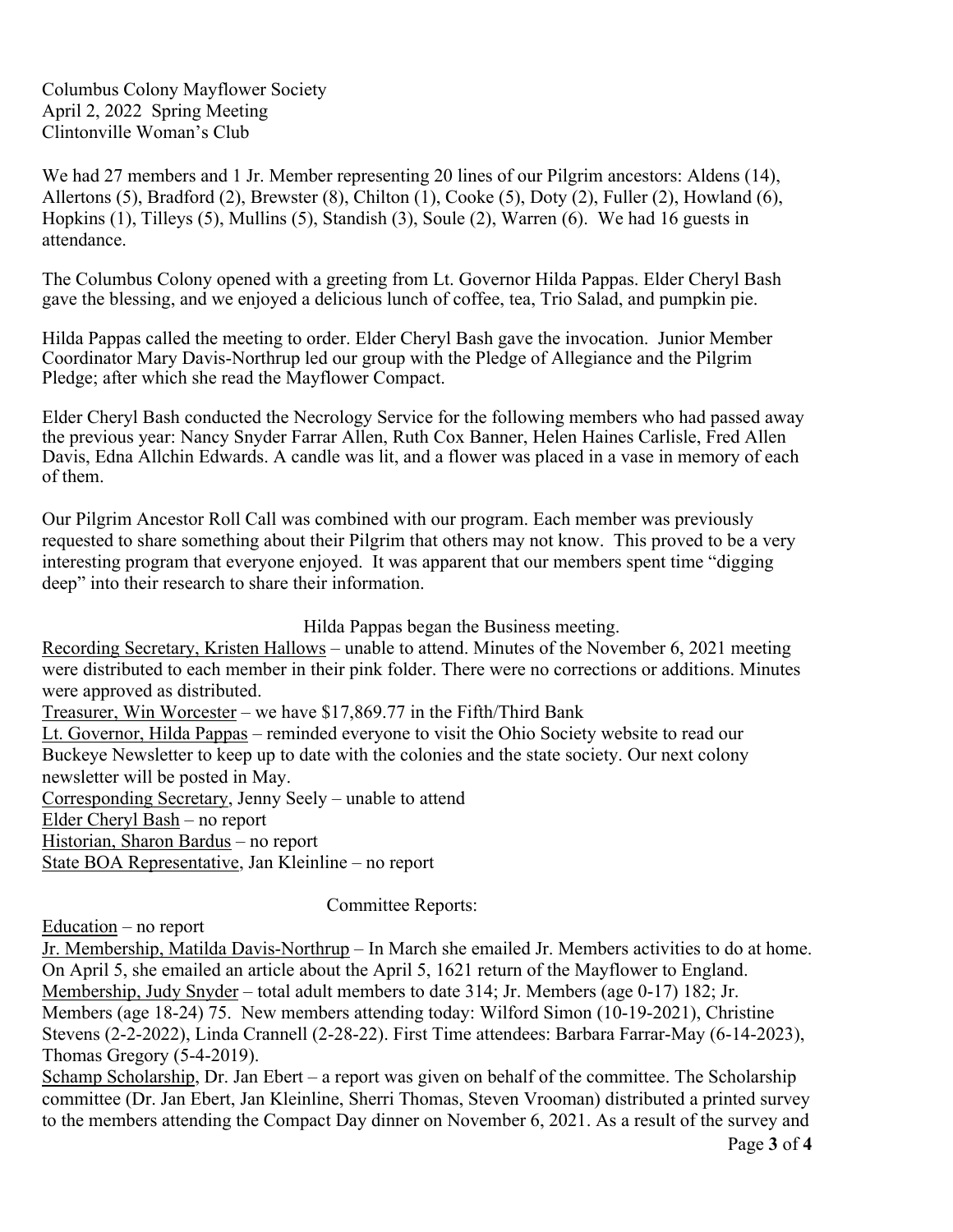Columbus Colony Mayflower Society April 2, 2022 Spring Meeting Clintonville Woman's Club

We had 27 members and 1 Jr. Member representing 20 lines of our Pilgrim ancestors: Aldens (14), Allertons (5), Bradford (2), Brewster (8), Chilton (1), Cooke (5), Doty (2), Fuller (2), Howland (6), Hopkins (1), Tilleys (5), Mullins (5), Standish (3), Soule (2), Warren (6). We had 16 guests in attendance.

The Columbus Colony opened with a greeting from Lt. Governor Hilda Pappas. Elder Cheryl Bash gave the blessing, and we enjoyed a delicious lunch of coffee, tea, Trio Salad, and pumpkin pie.

Hilda Pappas called the meeting to order. Elder Cheryl Bash gave the invocation. Junior Member Coordinator Mary Davis-Northrup led our group with the Pledge of Allegiance and the Pilgrim Pledge; after which she read the Mayflower Compact.

Elder Cheryl Bash conducted the Necrology Service for the following members who had passed away the previous year: Nancy Snyder Farrar Allen, Ruth Cox Banner, Helen Haines Carlisle, Fred Allen Davis, Edna Allchin Edwards. A candle was lit, and a flower was placed in a vase in memory of each of them.

Our Pilgrim Ancestor Roll Call was combined with our program. Each member was previously requested to share something about their Pilgrim that others may not know. This proved to be a very interesting program that everyone enjoyed. It was apparent that our members spent time "digging deep" into their research to share their information.

#### Hilda Pappas began the Business meeting.

Recording Secretary, Kristen Hallows – unable to attend. Minutes of the November 6, 2021 meeting were distributed to each member in their pink folder. There were no corrections or additions. Minutes were approved as distributed.

Treasurer, Win Worcester – we have \$17,869.77 in the Fifth/Third Bank Lt. Governor, Hilda Pappas – reminded everyone to visit the Ohio Society website to read our Buckeye Newsletter to keep up to date with the colonies and the state society. Our next colony newsletter will be posted in May. Corresponding Secretary, Jenny Seely – unable to attend Elder Cheryl Bash – no report Historian, Sharon Bardus – no report

State BOA Representative, Jan Kleinline – no report

#### Committee Reports:

Education – no report

Jr. Membership, Matilda Davis-Northrup – In March she emailed Jr. Members activities to do at home. On April 5, she emailed an article about the April 5, 1621 return of the Mayflower to England. Membership, Judy Snyder – total adult members to date 314; Jr. Members (age 0-17) 182; Jr. Members (age 18-24) 75. New members attending today: Wilford Simon (10-19-2021), Christine Stevens (2-2-2022), Linda Crannell (2-28-22). First Time attendees: Barbara Farrar-May (6-14-2023), Thomas Gregory (5-4-2019).

Schamp Scholarship, Dr. Jan Ebert – a report was given on behalf of the committee. The Scholarship committee (Dr. Jan Ebert, Jan Kleinline, Sherri Thomas, Steven Vrooman) distributed a printed survey to the members attending the Compact Day dinner on November 6, 2021. As a result of the survey and